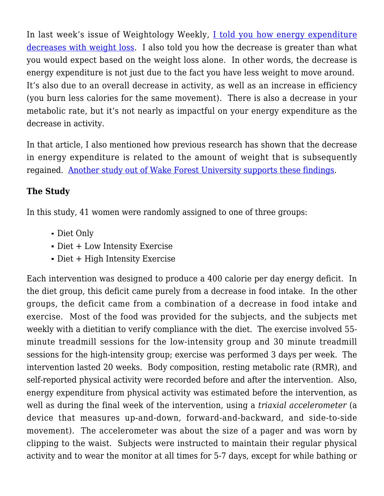In last week's issue of Weightology Weekly, [I told you how energy expenditure](https://weightology.net/weightologyweekly/?page_id=415) [decreases with weight loss](https://weightology.net/weightologyweekly/?page_id=415). I also told you how the decrease is greater than what you would expect based on the weight loss alone. In other words, the decrease is energy expenditure is not just due to the fact you have less weight to move around. It's also due to an overall decrease in activity, as well as an increase in efficiency (you burn less calories for the same movement). There is also a decrease in your metabolic rate, but it's not nearly as impactful on your energy expenditure as the decrease in activity.

In that article, I also mentioned how previous research has shown that the decrease in energy expenditure is related to the amount of weight that is subsequently regained. [Another study out of Wake Forest University supports these findings](http://www.ncbi.nlm.nih.gov/pubmed/18799988).

## **The Study**

In this study, 41 women were randomly assigned to one of three groups:

- Diet Only
- Diet + Low Intensity Exercise
- Diet + High Intensity Exercise

Each intervention was designed to produce a 400 calorie per day energy deficit. In the diet group, this deficit came purely from a decrease in food intake. In the other groups, the deficit came from a combination of a decrease in food intake and exercise. Most of the food was provided for the subjects, and the subjects met weekly with a dietitian to verify compliance with the diet. The exercise involved 55 minute treadmill sessions for the low-intensity group and 30 minute treadmill sessions for the high-intensity group; exercise was performed 3 days per week. The intervention lasted 20 weeks. Body composition, resting metabolic rate (RMR), and self-reported physical activity were recorded before and after the intervention. Also, energy expenditure from physical activity was estimated before the intervention, as well as during the final week of the intervention, using a *triaxial accelerometer* (a device that measures up-and-down, forward-and-backward, and side-to-side movement). The accelerometer was about the size of a pager and was worn by clipping to the waist. Subjects were instructed to maintain their regular physical activity and to wear the monitor at all times for 5-7 days, except for while bathing or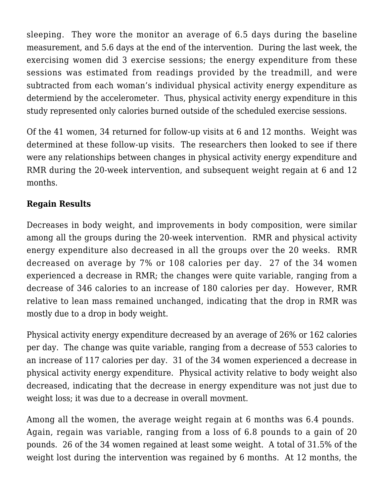sleeping. They wore the monitor an average of 6.5 days during the baseline measurement, and 5.6 days at the end of the intervention. During the last week, the exercising women did 3 exercise sessions; the energy expenditure from these sessions was estimated from readings provided by the treadmill, and were subtracted from each woman's individual physical activity energy expenditure as determiend by the accelerometer. Thus, physical activity energy expenditure in this study represented only calories burned outside of the scheduled exercise sessions.

Of the 41 women, 34 returned for follow-up visits at 6 and 12 months. Weight was determined at these follow-up visits. The researchers then looked to see if there were any relationships between changes in physical activity energy expenditure and RMR during the 20-week intervention, and subsequent weight regain at 6 and 12 months.

## **Regain Results**

Decreases in body weight, and improvements in body composition, were similar among all the groups during the 20-week intervention. RMR and physical activity energy expenditure also decreased in all the groups over the 20 weeks. RMR decreased on average by 7% or 108 calories per day. 27 of the 34 women experienced a decrease in RMR; the changes were quite variable, ranging from a decrease of 346 calories to an increase of 180 calories per day. However, RMR relative to lean mass remained unchanged, indicating that the drop in RMR was mostly due to a drop in body weight.

Physical activity energy expenditure decreased by an average of 26% or 162 calories per day. The change was quite variable, ranging from a decrease of 553 calories to an increase of 117 calories per day. 31 of the 34 women experienced a decrease in physical activity energy expenditure. Physical activity relative to body weight also decreased, indicating that the decrease in energy expenditure was not just due to weight loss; it was due to a decrease in overall movment.

Among all the women, the average weight regain at 6 months was 6.4 pounds. Again, regain was variable, ranging from a loss of 6.8 pounds to a gain of 20 pounds. 26 of the 34 women regained at least some weight. A total of 31.5% of the weight lost during the intervention was regained by 6 months. At 12 months, the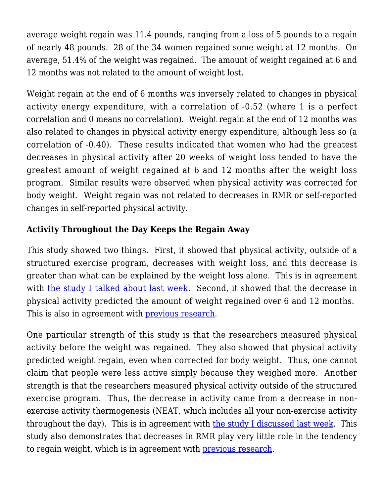average weight regain was 11.4 pounds, ranging from a loss of 5 pounds to a regain of nearly 48 pounds. 28 of the 34 women regained some weight at 12 months. On average, 51.4% of the weight was regained. The amount of weight regained at 6 and 12 months was not related to the amount of weight lost.

Weight regain at the end of 6 months was inversely related to changes in physical activity energy expenditure, with a correlation of -0.52 (where 1 is a perfect correlation and 0 means no correlation). Weight regain at the end of 12 months was also related to changes in physical activity energy expenditure, although less so (a correlation of -0.40). These results indicated that women who had the greatest decreases in physical activity after 20 weeks of weight loss tended to have the greatest amount of weight regained at 6 and 12 months after the weight loss program. Similar results were observed when physical activity was corrected for body weight. Weight regain was not related to decreases in RMR or self-reported changes in self-reported physical activity.

## **Activity Throughout the Day Keeps the Regain Away**

This study showed two things. First, it showed that physical activity, outside of a structured exercise program, decreases with weight loss, and this decrease is greater than what can be explained by the weight loss alone. This is in agreement with [the study I talked about last week.](https://weightology.net/weightologyweekly/?page_id=415) Second, it showed that the decrease in physical activity predicted the amount of weight regained over 6 and 12 months. This is also in agreement with [previous research.](http://www.ncbi.nlm.nih.gov/pubmed/11864855)

One particular strength of this study is that the researchers measured physical activity before the weight was regained. They also showed that physical activity predicted weight regain, even when corrected for body weight. Thus, one cannot claim that people were less active simply because they weighed more. Another strength is that the researchers measured physical activity outside of the structured exercise program. Thus, the decrease in activity came from a decrease in nonexercise activity thermogenesis (NEAT, which includes all your non-exercise activity throughout the day). This is in agreement with [the study I discussed last week.](https://weightology.net/weightologyweekly/?page_id=415) This study also demonstrates that decreases in RMR play very little role in the tendency to regain weight, which is in agreement with [previous research](http://www.ncbi.nlm.nih.gov/pubmed/11063433).